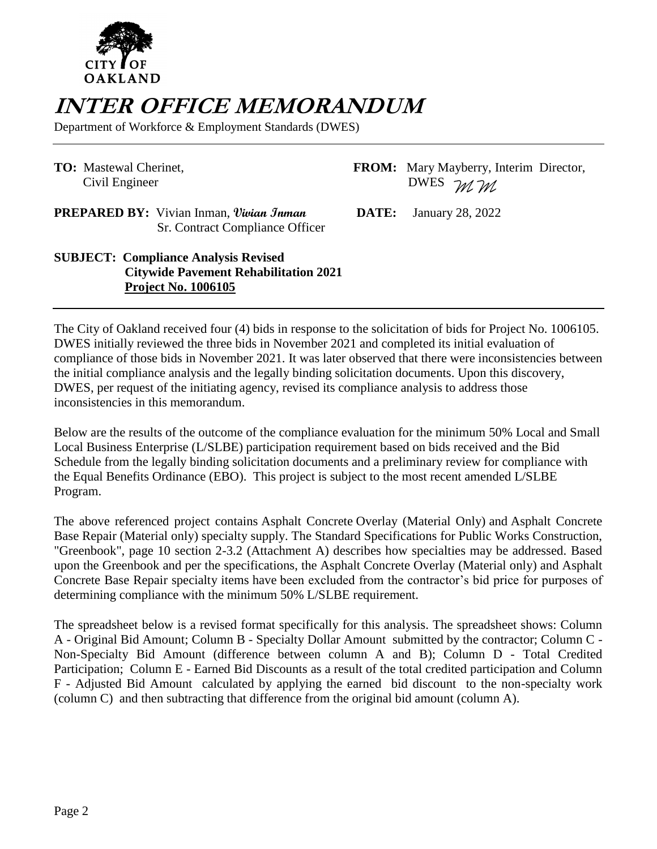

## **INTER OFFICE MEMORANDUM**

Department of Workforce & Employment Standards (DWES)

Civil Engineer

**TO:** Mastewal Cherinet, **FROM:** Mary Mayberry, Interim Director, Civil Engineer **DWES**  $M$  *M* 

**PREPARED BY:** Vivian Inman, *Vivian Jnman* **DATE:** January 28, 2022 Sr. Contract Compliance Officer

**SUBJECT: Compliance Analysis Revised Citywide Pavement Rehabilitation 2021 Project No. 1006105**

The City of Oakland received four (4) bids in response to the solicitation of bids for Project No. 1006105. DWES initially reviewed the three bids in November 2021 and completed its initial evaluation of compliance of those bids in November 2021. It was later observed that there were inconsistencies between the initial compliance analysis and the legally binding solicitation documents. Upon this discovery, DWES, per request of the initiating agency, revised its compliance analysis to address those inconsistencies in this memorandum.

Below are the results of the outcome of the compliance evaluation for the minimum 50% Local and Small Local Business Enterprise (L/SLBE) participation requirement based on bids received and the Bid Schedule from the legally binding solicitation documents and a preliminary review for compliance with the Equal Benefits Ordinance (EBO). This project is subject to the most recent amended L/SLBE Program.

The above referenced project contains Asphalt Concrete Overlay (Material Only) and Asphalt Concrete Base Repair (Material only) specialty supply. The Standard Specifications for Public Works Construction, "Greenbook", page 10 section 2-3.2 (Attachment A) describes how specialties may be addressed. Based upon the Greenbook and per the specifications, the Asphalt Concrete Overlay (Material only) and Asphalt Concrete Base Repair specialty items have been excluded from the contractor's bid price for purposes of determining compliance with the minimum 50% L/SLBE requirement.

The spreadsheet below is a revised format specifically for this analysis. The spreadsheet shows: Column A - Original Bid Amount; Column B - Specialty Dollar Amount submitted by the contractor; Column C - Non-Specialty Bid Amount (difference between column A and B); Column D - Total Credited Participation; Column E - Earned Bid Discounts as a result of the total credited participation and Column F - Adjusted Bid Amount calculated by applying the earned bid discount to the non-specialty work (column C) and then subtracting that difference from the original bid amount (column A).